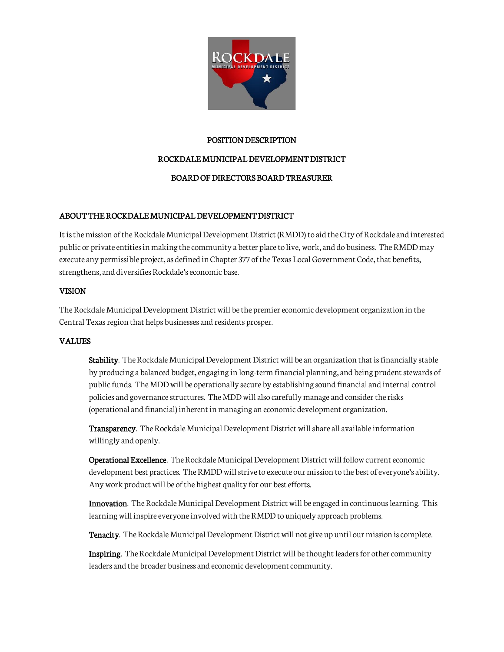

## POSITION DESCRIPTION

## ROCKDALE MUNICIPAL DEVELOPMENT DISTRICT

# BOARD OF DIRECTORS BOARD TREASURER

## ABOUT THE ROCKDALE MUNICIPAL DEVELOPMENT DISTRICT

It is the mission of the Rockdale Municipal Development District (RMDD) to aid the City of Rockdale and interested public or private entities in making the community a better place to live, work, and do business. The RMDD may execute any permissible project, as defined in Chapter 377 of the Texas Local Government Code, that benefits, strengthens, and diversifies Rockdale's economic base.

## VISION

The Rockdale Municipal Development District will be the premier economic development organization in the Central Texas region that helps businesses and residents prosper.

# VALUES

Stability. The Rockdale Municipal Development District will be an organization that is financially stable by producing a balanced budget, engaging in long-term financial planning, and being prudent stewards of public funds. The MDD will be operationally secure by establishing sound financial and internal control policies and governance structures. The MDD will also carefully manage and consider the risks (operational and financial) inherent in managing an economic development organization.

Transparency. The Rockdale Municipal Development District will share all available information willingly and openly.

Operational Excellence. The Rockdale Municipal Development District will follow current economic development best practices. The RMDD will strive to execute our mission to the best of everyone's ability. Any work product will be of the highest quality for our best efforts.

Innovation. The Rockdale Municipal Development District will be engaged in continuous learning. This learning will inspire everyone involved with the RMDD to uniquely approach problems.

Tenacity. The Rockdale Municipal Development District will not give up until our mission is complete.

Inspiring. The Rockdale Municipal Development District will be thought leaders for other community leaders and the broader business and economic development community.